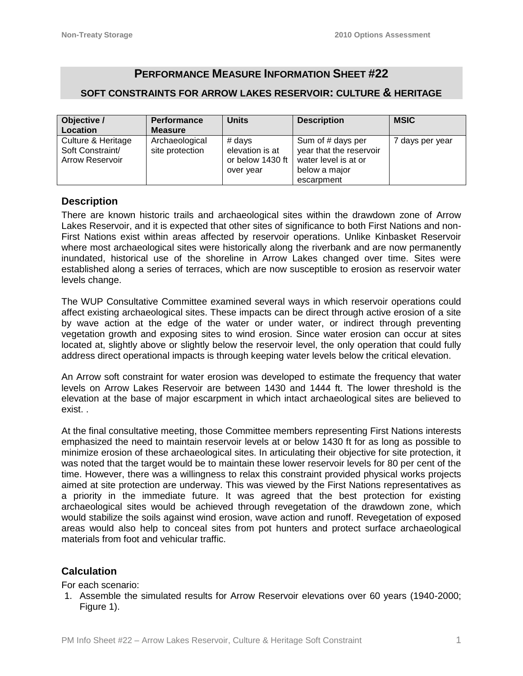# **PERFORMANCE MEASURE INFORMATION SHEET #22**

## **SOFT CONSTRAINTS FOR ARROW LAKES RESERVOIR: CULTURE & HERITAGE**

| Objective /                                                      | <b>Performance</b>                | <b>Units</b>                                               | <b>Description</b>                                                                                  | <b>MSIC</b>     |
|------------------------------------------------------------------|-----------------------------------|------------------------------------------------------------|-----------------------------------------------------------------------------------------------------|-----------------|
| Location                                                         | <b>Measure</b>                    |                                                            |                                                                                                     |                 |
| Culture & Heritage<br>Soft Constraint/<br><b>Arrow Reservoir</b> | Archaeological<br>site protection | # days<br>elevation is at<br>or below 1430 ft<br>over year | Sum of # days per<br>year that the reservoir<br>water level is at or<br>below a major<br>escarpment | 7 days per year |

#### **Description**

There are known historic trails and archaeological sites within the drawdown zone of Arrow Lakes Reservoir, and it is expected that other sites of significance to both First Nations and non-First Nations exist within areas affected by reservoir operations. Unlike Kinbasket Reservoir where most archaeological sites were historically along the riverbank and are now permanently inundated, historical use of the shoreline in Arrow Lakes changed over time. Sites were established along a series of terraces, which are now susceptible to erosion as reservoir water levels change.

The WUP Consultative Committee examined several ways in which reservoir operations could affect existing archaeological sites. These impacts can be direct through active erosion of a site by wave action at the edge of the water or under water, or indirect through preventing vegetation growth and exposing sites to wind erosion. Since water erosion can occur at sites located at, slightly above or slightly below the reservoir level, the only operation that could fully address direct operational impacts is through keeping water levels below the critical elevation.

An Arrow soft constraint for water erosion was developed to estimate the frequency that water levels on Arrow Lakes Reservoir are between 1430 and 1444 ft. The lower threshold is the elevation at the base of major escarpment in which intact archaeological sites are believed to exist. .

At the final consultative meeting, those Committee members representing First Nations interests emphasized the need to maintain reservoir levels at or below 1430 ft for as long as possible to minimize erosion of these archaeological sites. In articulating their objective for site protection, it was noted that the target would be to maintain these lower reservoir levels for 80 per cent of the time. However, there was a willingness to relax this constraint provided physical works projects aimed at site protection are underway. This was viewed by the First Nations representatives as a priority in the immediate future. It was agreed that the best protection for existing archaeological sites would be achieved through revegetation of the drawdown zone, which would stabilize the soils against wind erosion, wave action and runoff. Revegetation of exposed areas would also help to conceal sites from pot hunters and protect surface archaeological materials from foot and vehicular traffic.

### **Calculation**

For each scenario:

1. Assemble the simulated results for Arrow Reservoir elevations over 60 years (1940-2000; Figure 1).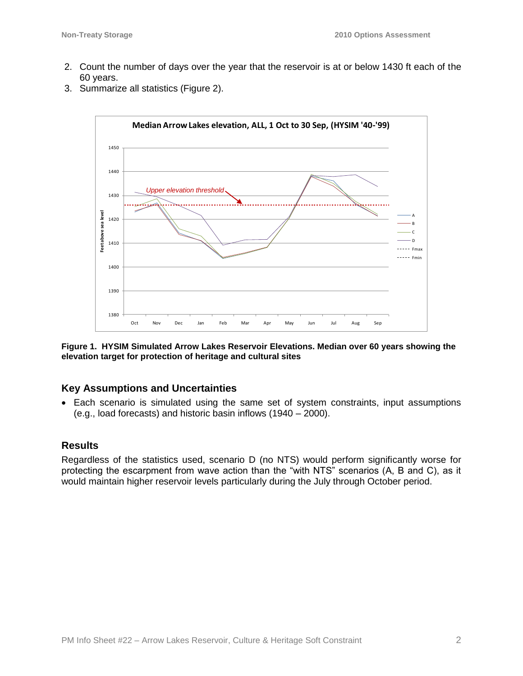- 2. Count the number of days over the year that the reservoir is at or below 1430 ft each of the 60 years.
- 3. Summarize all statistics (Figure 2).



**Figure 1. HYSIM Simulated Arrow Lakes Reservoir Elevations. Median over 60 years showing the elevation target for protection of heritage and cultural sites**

## **Key Assumptions and Uncertainties**

• Each scenario is simulated using the same set of system constraints, input assumptions (e.g., load forecasts) and historic basin inflows (1940 – 2000).

### **Results**

Regardless of the statistics used, scenario D (no NTS) would perform significantly worse for protecting the escarpment from wave action than the "with NTS" scenarios (A, B and C), as it would maintain higher reservoir levels particularly during the July through October period.